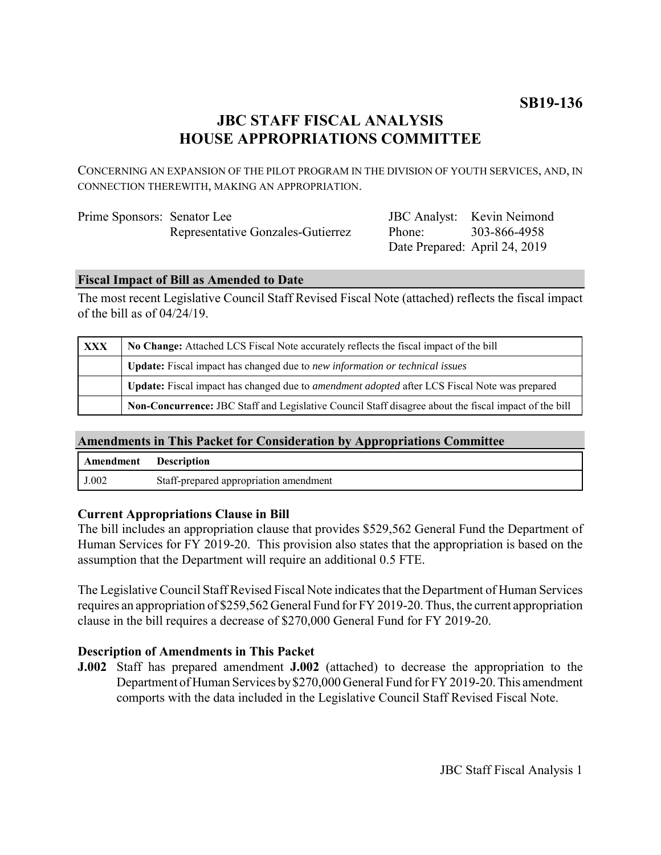# **JBC STAFF FISCAL ANALYSIS HOUSE APPROPRIATIONS COMMITTEE**

CONCERNING AN EXPANSION OF THE PILOT PROGRAM IN THE DIVISION OF YOUTH SERVICES, AND, IN CONNECTION THEREWITH, MAKING AN APPROPRIATION.

| Prime Sponsors: Senator Lee |                                   |
|-----------------------------|-----------------------------------|
|                             | Representative Gonzales-Gutierrez |

JBC Analyst: Kevin Neimond Phone: Date Prepared: April 24, 2019 303-866-4958

## **Fiscal Impact of Bill as Amended to Date**

The most recent Legislative Council Staff Revised Fiscal Note (attached) reflects the fiscal impact of the bill as of 04/24/19.

| XXX | No Change: Attached LCS Fiscal Note accurately reflects the fiscal impact of the bill                        |  |
|-----|--------------------------------------------------------------------------------------------------------------|--|
|     | <b>Update:</b> Fiscal impact has changed due to new information or technical issues                          |  |
|     | Update: Fiscal impact has changed due to <i>amendment adopted</i> after LCS Fiscal Note was prepared         |  |
|     | <b>Non-Concurrence:</b> JBC Staff and Legislative Council Staff disagree about the fiscal impact of the bill |  |

## **Amendments in This Packet for Consideration by Appropriations Committee**

| Amendment | <b>Description</b>                     |
|-----------|----------------------------------------|
| J.002     | Staff-prepared appropriation amendment |

## **Current Appropriations Clause in Bill**

The bill includes an appropriation clause that provides \$529,562 General Fund the Department of Human Services for FY 2019-20. This provision also states that the appropriation is based on the assumption that the Department will require an additional 0.5 FTE.

The Legislative Council Staff Revised Fiscal Note indicates that the Department of Human Services requires an appropriation of \$259,562 General Fund for FY 2019-20. Thus, the current appropriation clause in the bill requires a decrease of \$270,000 General Fund for FY 2019-20.

## **Description of Amendments in This Packet**

**J.002** Staff has prepared amendment **J.002** (attached) to decrease the appropriation to the Department of Human Services by \$270,000 General Fund for FY 2019-20. This amendment comports with the data included in the Legislative Council Staff Revised Fiscal Note.